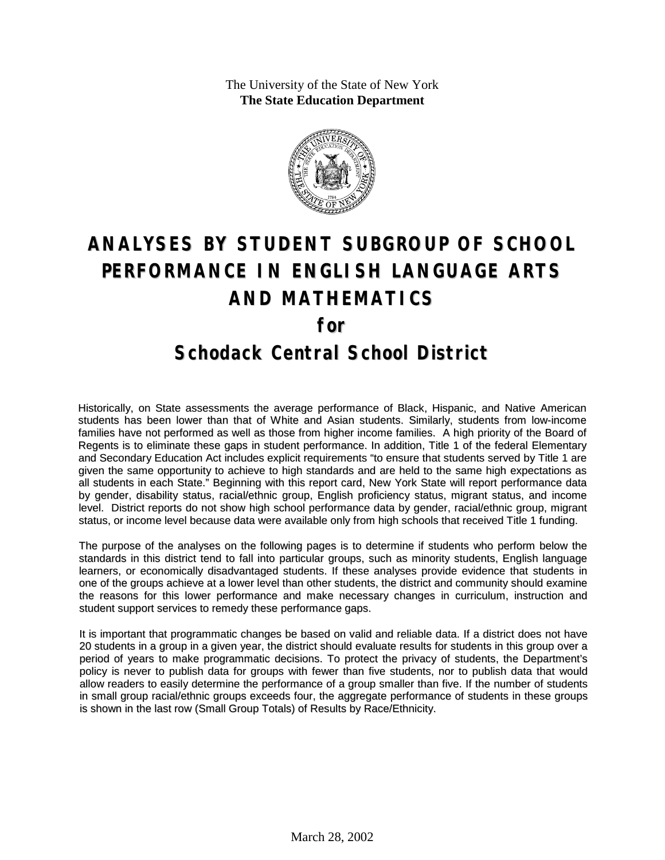The University of the State of New York **The State Education Department**



# **ANALYSES BY STUDENT SUBGROUP OF SCHOOL PERFORMANCE IN ENGLISH LANGUAGE ARTS AND MATHEMATICS for Schodack Central School District**

Historically, on State assessments the average performance of Black, Hispanic, and Native American students has been lower than that of White and Asian students. Similarly, students from low-income families have not performed as well as those from higher income families. A high priority of the Board of Regents is to eliminate these gaps in student performance. In addition, Title 1 of the federal Elementary and Secondary Education Act includes explicit requirements "to ensure that students served by Title 1 are given the same opportunity to achieve to high standards and are held to the same high expectations as all students in each State." Beginning with this report card, New York State will report performance data by gender, disability status, racial/ethnic group, English proficiency status, migrant status, and income level. District reports do not show high school performance data by gender, racial/ethnic group, migrant status, or income level because data were available only from high schools that received Title 1 funding.

The purpose of the analyses on the following pages is to determine if students who perform below the standards in this district tend to fall into particular groups, such as minority students, English language learners, or economically disadvantaged students. If these analyses provide evidence that students in one of the groups achieve at a lower level than other students, the district and community should examine the reasons for this lower performance and make necessary changes in curriculum, instruction and student support services to remedy these performance gaps.

It is important that programmatic changes be based on valid and reliable data. If a district does not have 20 students in a group in a given year, the district should evaluate results for students in this group over a period of years to make programmatic decisions. To protect the privacy of students, the Department's policy is never to publish data for groups with fewer than five students, nor to publish data that would allow readers to easily determine the performance of a group smaller than five. If the number of students in small group racial/ethnic groups exceeds four, the aggregate performance of students in these groups is shown in the last row (Small Group Totals) of Results by Race/Ethnicity.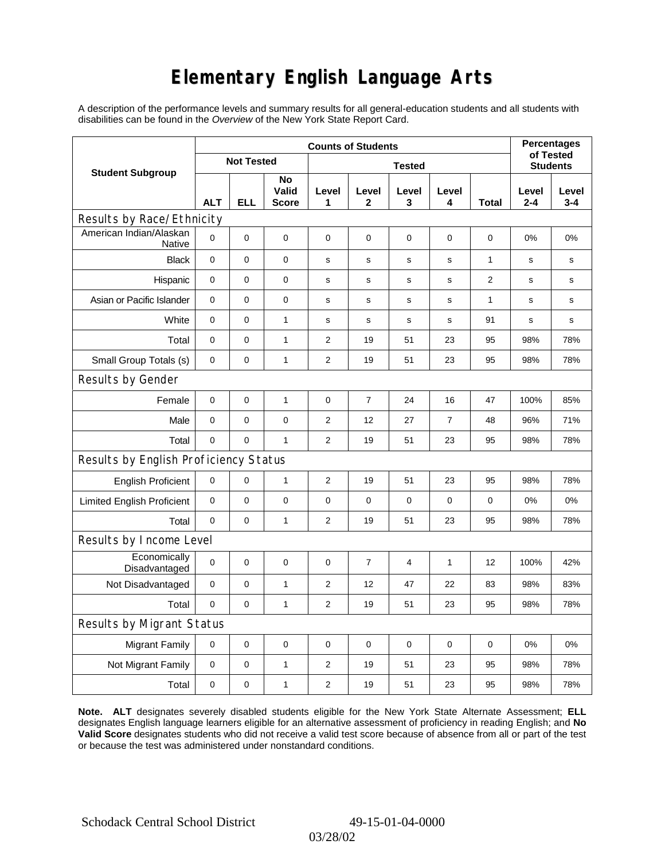# **Elementary English Language Arts**

A description of the performance levels and summary results for all general-education students and all students with disabilities can be found in the *Overview* of the New York State Report Card.

|                                       | <b>Counts of Students</b> |             |                             |                |                |                 |              |                         | <b>Percentages</b><br>of Tested |                  |
|---------------------------------------|---------------------------|-------------|-----------------------------|----------------|----------------|-----------------|--------------|-------------------------|---------------------------------|------------------|
| <b>Student Subgroup</b>               | <b>Not Tested</b>         |             |                             |                |                | <b>Students</b> |              |                         |                                 |                  |
|                                       | <b>ALT</b>                | <b>ELL</b>  | No<br>Valid<br><b>Score</b> | Level<br>1     | Level<br>2     | Level<br>3      | Level<br>4   | Total                   | Level<br>$2 - 4$                | Level<br>$3 - 4$ |
| Results by Race/Ethnicity             |                           |             |                             |                |                |                 |              |                         |                                 |                  |
| American Indian/Alaskan<br>Native     | $\mathbf 0$               | 0           | $\pmb{0}$                   | $\pmb{0}$      | 0              | 0               | 0            | 0                       | 0%                              | 0%               |
| <b>Black</b>                          | $\pmb{0}$                 | 0           | 0                           | s              | $\mathbf s$    | $\mathbf s$     | $\mathbf s$  | 1                       | s                               | s                |
| Hispanic                              | 0                         | 0           | $\pmb{0}$                   | s              | $\mathbf S$    | $\mathbf S$     | s            | $\overline{\mathbf{c}}$ | s                               | s                |
| Asian or Pacific Islander             | 0                         | 0           | $\mathbf 0$                 | s              | s              | s               | s            | 1                       | s                               | s                |
| White                                 | $\mathbf 0$               | 0           | $\mathbf{1}$                | s              | s              | ${\bf s}$       | $\mathbf s$  | 91                      | $\mathbf s$                     | s                |
| Total                                 | $\mathbf 0$               | 0           | $\mathbf{1}$                | 2              | 19             | 51              | 23           | 95                      | 98%                             | 78%              |
| Small Group Totals (s)                | 0                         | 0           | 1                           | 2              | 19             | 51              | 23           | 95                      | 98%                             | 78%              |
| Results by Gender                     |                           |             |                             |                |                |                 |              |                         |                                 |                  |
| Female                                | $\mathbf 0$               | $\mathsf 0$ | $\mathbf{1}$                | $\pmb{0}$      | $\overline{7}$ | 24              | 16           | 47                      | 100%                            | 85%              |
| Male                                  | $\mathbf 0$               | 0           | 0                           | 2              | 12             | 27              | 7            | 48                      | 96%                             | 71%              |
| Total                                 | 0                         | 0           | $\mathbf{1}$                | 2              | 19             | 51              | 23           | 95                      | 98%                             | 78%              |
| Results by English Proficiency Status |                           |             |                             |                |                |                 |              |                         |                                 |                  |
| <b>English Proficient</b>             | 0                         | 0           | $\mathbf{1}$                | 2              | 19             | 51              | 23           | 95                      | 98%                             | 78%              |
| <b>Limited English Proficient</b>     | $\mathbf 0$               | 0           | $\pmb{0}$                   | $\pmb{0}$      | 0              | 0               | $\pmb{0}$    | 0                       | 0%                              | 0%               |
| Total                                 | $\mathbf 0$               | 0           | $\mathbf{1}$                | 2              | 19             | 51              | 23           | 95                      | 98%                             | 78%              |
| Results by Income Level               |                           |             |                             |                |                |                 |              |                         |                                 |                  |
| Economically<br>Disadvantaged         | $\mathbf 0$               | 0           | $\mathbf 0$                 | 0              | $\overline{7}$ | 4               | $\mathbf{1}$ | 12                      | 100%                            | 42%              |
| Not Disadvantaged                     | $\mathbf 0$               | 0           | $\mathbf{1}$                | $\overline{2}$ | 12             | 47              | 22           | 83                      | 98%                             | 83%              |
| Total                                 | $\mathbf 0$               | 0           | $\mathbf{1}$                | 2              | 19             | 51              | 23           | 95                      | 98%                             | 78%              |
| Results by Migrant Status             |                           |             |                             |                |                |                 |              |                         |                                 |                  |
| <b>Migrant Family</b>                 | 0                         | 0           | $\pmb{0}$                   | $\pmb{0}$      | 0              | $\mathbf 0$     | 0            | 0                       | 0%                              | 0%               |
| Not Migrant Family                    | $\pmb{0}$                 | 0           | $\mathbf{1}$                | $\overline{2}$ | 19             | 51              | 23           | 95                      | 98%                             | 78%              |
| Total                                 | 0                         | 0           | $\mathbf{1}$                | $\overline{2}$ | 19             | 51              | 23           | 95                      | 98%                             | 78%              |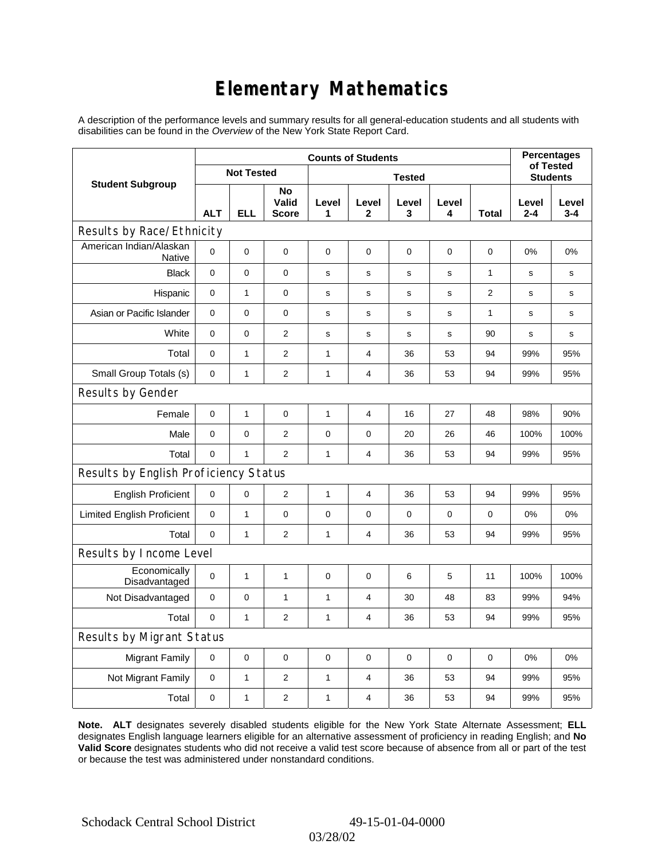# **Elementary Mathematics**

A description of the performance levels and summary results for all general-education students and all students with disabilities can be found in the *Overview* of the New York State Report Card.

|                                       | <b>Counts of Students</b> |              |                             |              |                       |                 |             |                | <b>Percentages</b><br>of Tested |                  |
|---------------------------------------|---------------------------|--------------|-----------------------------|--------------|-----------------------|-----------------|-------------|----------------|---------------------------------|------------------|
| <b>Student Subgroup</b>               | <b>Not Tested</b>         |              |                             |              |                       | <b>Students</b> |             |                |                                 |                  |
|                                       | <b>ALT</b>                | <b>ELL</b>   | No<br>Valid<br><b>Score</b> | Level<br>1   | Level<br>$\mathbf{2}$ | Level<br>3      | Level<br>4  | <b>Total</b>   | Level<br>$2 - 4$                | Level<br>$3 - 4$ |
| Results by Race/Ethnicity             |                           |              |                             |              |                       |                 |             |                |                                 |                  |
| American Indian/Alaskan<br>Native     | $\Omega$                  | 0            | 0                           | $\mathbf 0$  | $\mathbf 0$           | 0               | $\mathbf 0$ | $\mathbf 0$    | 0%                              | 0%               |
| <b>Black</b>                          | 0                         | 0            | $\pmb{0}$                   | $\mathbf s$  | $\mathsf{s}$          | $\mathbf s$     | s           | $\mathbf{1}$   | $\mathbf s$                     | s                |
| Hispanic                              | 0                         | $\mathbf{1}$ | $\mathbf 0$                 | $\mathbf s$  | $\mathbf s$           | $\mathbf s$     | $\mathbf s$ | $\overline{2}$ | $\mathbf s$                     | s                |
| Asian or Pacific Islander             | $\mathbf 0$               | 0            | $\mathbf 0$                 | $\mathbf s$  | $\mathbf S$           | s               | s           | $\mathbf{1}$   | s                               | s                |
| White                                 | 0                         | 0            | $\overline{c}$              | $\mathbf s$  | $\mathbf S$           | s               | s           | 90             | s                               | s                |
| Total                                 | $\mathbf 0$               | $\mathbf{1}$ | $\mathbf{2}$                | 1            | 4                     | 36              | 53          | 94             | 99%                             | 95%              |
| Small Group Totals (s)                | $\mathbf 0$               | $\mathbf{1}$ | $\overline{2}$              | 1            | 4                     | 36              | 53          | 94             | 99%                             | 95%              |
| Results by Gender                     |                           |              |                             |              |                       |                 |             |                |                                 |                  |
| Female                                | 0                         | $\mathbf{1}$ | $\pmb{0}$                   | $\mathbf{1}$ | 4                     | 16              | 27          | 48             | 98%                             | 90%              |
| Male                                  | $\mathbf 0$               | 0            | $\mathbf{2}$                | $\pmb{0}$    | $\mathbf 0$           | 20              | 26          | 46             | 100%                            | 100%             |
| Total                                 | 0                         | $\mathbf{1}$ | $\mathbf{2}$                | $\mathbf{1}$ | 4                     | 36              | 53          | 94             | 99%                             | 95%              |
| Results by English Proficiency Status |                           |              |                             |              |                       |                 |             |                |                                 |                  |
| <b>English Proficient</b>             | $\mathbf 0$               | 0            | $\mathbf{2}$                | $\mathbf{1}$ | $\overline{4}$        | 36              | 53          | 94             | 99%                             | 95%              |
| <b>Limited English Proficient</b>     | 0                         | $\mathbf{1}$ | $\pmb{0}$                   | $\pmb{0}$    | $\mathbf 0$           | 0               | $\mathbf 0$ | 0              | 0%                              | 0%               |
| Total                                 | $\mathbf 0$               | $\mathbf{1}$ | 2                           | 1            | 4                     | 36              | 53          | 94             | 99%                             | 95%              |
| Results by Income Level               |                           |              |                             |              |                       |                 |             |                |                                 |                  |
| Economically<br>Disadvantaged         | $\mathbf 0$               | 1            | $\mathbf{1}$                | $\mathbf 0$  | $\mathbf 0$           | 6               | 5           | 11             | 100%                            | 100%             |
| Not Disadvantaged                     | 0                         | 0            | $\mathbf{1}$                | $\mathbf{1}$ | 4                     | 30              | 48          | 83             | 99%                             | 94%              |
| Total                                 | 0                         | $\mathbf{1}$ | $\overline{2}$              | 1            | 4                     | 36              | 53          | 94             | 99%                             | 95%              |
| <b>Results by Migrant Status</b>      |                           |              |                             |              |                       |                 |             |                |                                 |                  |
| <b>Migrant Family</b>                 | 0                         | 0            | 0                           | $\pmb{0}$    | 0                     | 0               | $\mathbf 0$ | 0              | 0%                              | 0%               |
| Not Migrant Family                    | 0                         | 1            | $\overline{2}$              | 1            | 4                     | 36              | 53          | 94             | 99%                             | 95%              |
| Total                                 | 0                         | $\mathbf{1}$ | $\mathbf{2}$                | $\mathbf{1}$ | $\overline{4}$        | 36              | 53          | 94             | 99%                             | 95%              |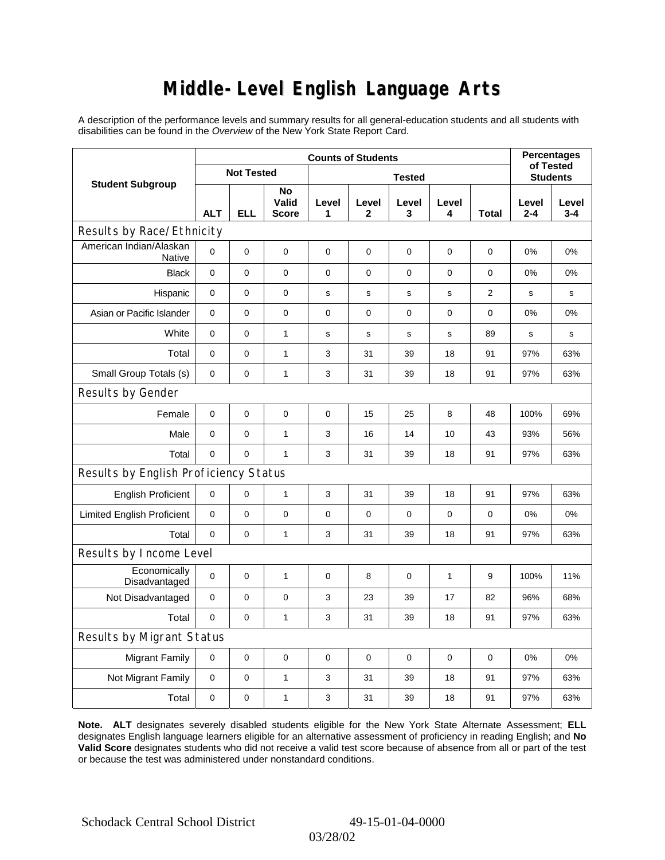### **Middle-Level English Language Arts**

A description of the performance levels and summary results for all general-education students and all students with disabilities can be found in the *Overview* of the New York State Report Card.

|                                       | <b>Counts of Students</b> |             |                             |             |             |             |             |                 | <b>Percentages</b><br>of Tested |                  |
|---------------------------------------|---------------------------|-------------|-----------------------------|-------------|-------------|-------------|-------------|-----------------|---------------------------------|------------------|
| <b>Student Subgroup</b>               | <b>Not Tested</b>         |             | <b>Tested</b>               |             |             |             |             | <b>Students</b> |                                 |                  |
|                                       | <b>ALT</b>                | <b>ELL</b>  | No<br>Valid<br><b>Score</b> | Level<br>1  | Level<br>2  | Level<br>3  | Level<br>4  | Total           | Level<br>2-4                    | Level<br>$3 - 4$ |
| Results by Race/Ethnicity             |                           |             |                             |             |             |             |             |                 |                                 |                  |
| American Indian/Alaskan<br>Native     | 0                         | $\mathbf 0$ | $\mathbf 0$                 | $\mathbf 0$ | $\mathbf 0$ | 0           | $\mathbf 0$ | $\mathbf 0$     | 0%                              | 0%               |
| <b>Black</b>                          | 0                         | 0           | 0                           | 0           | $\mathbf 0$ | 0           | $\mathbf 0$ | $\mathbf 0$     | 0%                              | 0%               |
| Hispanic                              | 0                         | $\mathbf 0$ | 0                           | $\mathbf s$ | s           | s           | s           | $\overline{2}$  | s                               | s                |
| Asian or Pacific Islander             | $\mathbf 0$               | $\mathbf 0$ | $\pmb{0}$                   | 0           | $\mathbf 0$ | 0           | $\pmb{0}$   | $\mathbf 0$     | 0%                              | 0%               |
| White                                 | 0                         | 0           | $\mathbf{1}$                | $\mathbf s$ | $\mathbf s$ | $\mathbf s$ | $\mathbf s$ | 89              | s                               | s                |
| Total                                 | 0                         | $\mathbf 0$ | $\mathbf{1}$                | 3           | 31          | 39          | 18          | 91              | 97%                             | 63%              |
| Small Group Totals (s)                | 0                         | 0           | $\mathbf{1}$                | 3           | 31          | 39          | 18          | 91              | 97%                             | 63%              |
| Results by Gender                     |                           |             |                             |             |             |             |             |                 |                                 |                  |
| Female                                | $\mathbf 0$               | 0           | $\pmb{0}$                   | $\pmb{0}$   | 15          | 25          | 8           | 48              | 100%                            | 69%              |
| Male                                  | $\mathbf 0$               | 0           | $\mathbf{1}$                | 3           | 16          | 14          | 10          | 43              | 93%                             | 56%              |
| Total                                 | 0                         | 0           | $\mathbf{1}$                | 3           | 31          | 39          | 18          | 91              | 97%                             | 63%              |
| Results by English Proficiency Status |                           |             |                             |             |             |             |             |                 |                                 |                  |
| <b>English Proficient</b>             | 0                         | 0           | $\mathbf{1}$                | 3           | 31          | 39          | 18          | 91              | 97%                             | 63%              |
| <b>Limited English Proficient</b>     | 0                         | 0           | $\pmb{0}$                   | $\pmb{0}$   | $\mathbf 0$ | 0           | 0           | 0               | 0%                              | 0%               |
| Total                                 | 0                         | $\pmb{0}$   | $\mathbf{1}$                | 3           | 31          | 39          | 18          | 91              | 97%                             | 63%              |
| Results by Income Level               |                           |             |                             |             |             |             |             |                 |                                 |                  |
| Economically<br>Disadvantaged         | $\mathbf 0$               | 0           | $\mathbf{1}$                | $\mathbf 0$ | 8           | 0           | 1           | 9               | 100%                            | 11%              |
| Not Disadvantaged                     | $\mathbf 0$               | 0           | 0                           | 3           | 23          | 39          | 17          | 82              | 96%                             | 68%              |
| Total                                 | $\mathbf 0$               | $\mathbf 0$ | $\mathbf{1}$                | 3           | 31          | 39          | 18          | 91              | 97%                             | 63%              |
| Results by Migrant Status             |                           |             |                             |             |             |             |             |                 |                                 |                  |
| <b>Migrant Family</b>                 | 0                         | 0           | 0                           | 0           | $\mathbf 0$ | 0           | $\mathbf 0$ | 0               | 0%                              | 0%               |
| Not Migrant Family                    | 0                         | 0           | $\mathbf{1}$                | 3           | 31          | 39          | 18          | 91              | 97%                             | 63%              |
| Total                                 | 0                         | 0           | $\mathbf{1}$                | 3           | 31          | 39          | 18          | 91              | 97%                             | 63%              |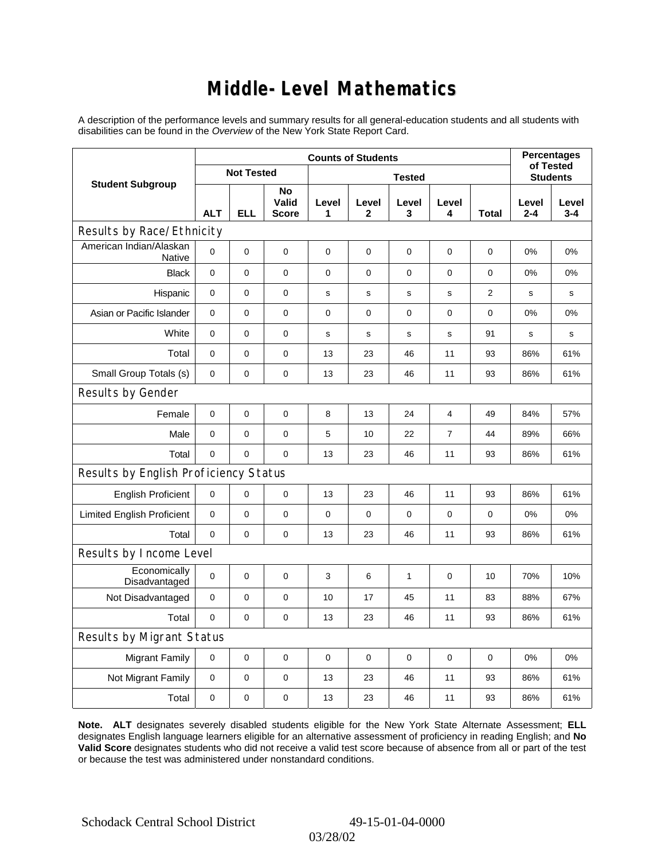### **Middle-Level Mathematics**

A description of the performance levels and summary results for all general-education students and all students with disabilities can be found in the *Overview* of the New York State Report Card.

|                                       | <b>Counts of Students</b> |                |                             |             |                       |             |                |                |                  | <b>Percentages</b><br>of Tested |  |
|---------------------------------------|---------------------------|----------------|-----------------------------|-------------|-----------------------|-------------|----------------|----------------|------------------|---------------------------------|--|
| <b>Student Subgroup</b>               | <b>Not Tested</b>         |                |                             |             | <b>Students</b>       |             |                |                |                  |                                 |  |
|                                       | <b>ALT</b>                | <b>ELL</b>     | No<br>Valid<br><b>Score</b> | Level<br>1  | Level<br>$\mathbf{2}$ | Level<br>3  | Level<br>4     | <b>Total</b>   | Level<br>$2 - 4$ | Level<br>$3 - 4$                |  |
| Results by Race/Ethnicity             |                           |                |                             |             |                       |             |                |                |                  |                                 |  |
| American Indian/Alaskan<br>Native     | 0                         | $\mathbf 0$    | $\mathbf 0$                 | $\mathbf 0$ | 0                     | 0           | 0              | 0              | $0\%$            | 0%                              |  |
| <b>Black</b>                          | 0                         | 0              | 0                           | $\mathbf 0$ | $\mathbf 0$           | 0           | 0              | 0              | 0%               | 0%                              |  |
| Hispanic                              | 0                         | $\mathsf 0$    | $\pmb{0}$                   | s           | ${\tt S}$             | ${\tt S}$   | s              | $\overline{2}$ | s                | s                               |  |
| Asian or Pacific Islander             | $\mathbf 0$               | 0              | $\mathbf 0$                 | 0           | $\mathbf 0$           | 0           | $\mathbf 0$    | 0              | 0%               | 0%                              |  |
| White                                 | 0                         | $\overline{0}$ | $\pmb{0}$                   | s           | $\mathbf s$           | $\mathbf s$ | $\mathbf s$    | 91             | s                | s                               |  |
| Total                                 | $\mathbf 0$               | 0              | $\pmb{0}$                   | 13          | 23                    | 46          | 11             | 93             | 86%              | 61%                             |  |
| Small Group Totals (s)                | $\mathbf 0$               | 0              | 0                           | 13          | 23                    | 46          | 11             | 93             | 86%              | 61%                             |  |
| Results by Gender                     |                           |                |                             |             |                       |             |                |                |                  |                                 |  |
| Female                                | 0                         | 0              | $\pmb{0}$                   | 8           | 13                    | 24          | $\overline{4}$ | 49             | 84%              | 57%                             |  |
| Male                                  | 0                         | 0              | $\mathbf 0$                 | 5           | 10                    | 22          | 7              | 44             | 89%              | 66%                             |  |
| Total                                 | 0                         | 0              | $\pmb{0}$                   | 13          | 23                    | 46          | 11             | 93             | 86%              | 61%                             |  |
| Results by English Proficiency Status |                           |                |                             |             |                       |             |                |                |                  |                                 |  |
| <b>English Proficient</b>             | $\mathbf 0$               | 0              | $\mathbf 0$                 | 13          | 23                    | 46          | 11             | 93             | 86%              | 61%                             |  |
| <b>Limited English Proficient</b>     | 0                         | 0              | $\pmb{0}$                   | 0           | $\mathbf 0$           | 0           | $\mathbf 0$    | $\mathbf 0$    | 0%               | 0%                              |  |
| Total                                 | $\mathbf 0$               | 0              | 0                           | 13          | 23                    | 46          | 11             | 93             | 86%              | 61%                             |  |
| Results by Income Level               |                           |                |                             |             |                       |             |                |                |                  |                                 |  |
| Economically<br>Disadvantaged         | $\pmb{0}$                 | 0              | $\mathbf 0$                 | 3           | 6                     | 1           | 0              | 10             | 70%              | 10%                             |  |
| Not Disadvantaged                     | 0                         | 0              | $\mathbf 0$                 | 10          | 17                    | 45          | 11             | 83             | 88%              | 67%                             |  |
| Total                                 | $\mathbf 0$               | $\mathbf 0$    | 0                           | 13          | 23                    | 46          | 11             | 93             | 86%              | 61%                             |  |
| Results by Migrant Status             |                           |                |                             |             |                       |             |                |                |                  |                                 |  |
| <b>Migrant Family</b>                 | $\mathbf 0$               | 0              | $\pmb{0}$                   | 0           | $\mathbf 0$           | 0           | 0              | 0              | 0%               | 0%                              |  |
| Not Migrant Family                    | 0                         | 0              | 0                           | 13          | 23                    | 46          | 11             | 93             | 86%              | 61%                             |  |
| Total                                 | 0                         | 0              | 0                           | 13          | 23                    | 46          | 11             | 93             | 86%              | 61%                             |  |